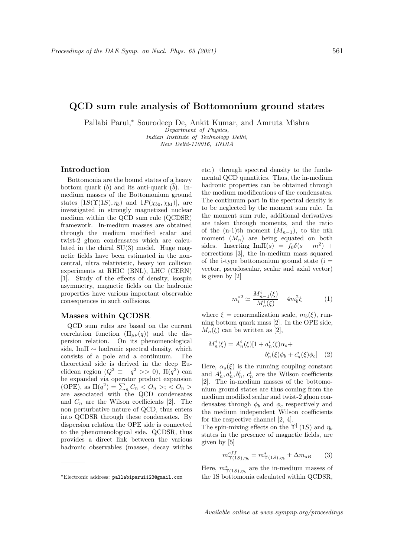# QCD sum rule analysis of Bottomonium ground states

Pallabi Parui,<sup>∗</sup> Sourodeep De, Ankit Kumar, and Amruta Mishra

Department of Physics, Indian Institute of Technology Delhi,

New Delhi-110016, INDIA

### Introduction

Bottomonia are the bound states of a heavy bottom quark (b) and its anti-quark (b). Inmedium masses of the Bottomonium ground states  $[1S(\Upsilon(1S), \eta_b)$  and  $1P(\chi_{b0}, \chi_{b1})]$ , are investigated in strongly magnetized nuclear medium within the QCD sum rule (QCDSR) framework. In-medium masses are obtained through the medium modified scalar and twist-2 gluon condensates which are calculated in the chiral SU(3) model. Huge magnetic fields have been estimated in the noncentral, ultra relativistic, heavy ion collision experiments at RHIC (BNL), LHC (CERN) [1]. Study of the effects of density, isospin asymmetry, magnetic fields on the hadronic properties have various important observable consequences in such collisions.

#### Masses within QCDSR

QCD sum rules are based on the current correlation function  $(\Pi_{\mu\nu}(q))$  and the dispersion relation. On its phenomenological side, Im $\Pi \sim$  hadronic spectral density, which consists of a pole and a continuum. The theoretical side is derived in the deep Euclidean region  $(Q^2 \equiv -q^2 \gg 0)$ ,  $\Pi(q^2)$  can be expanded via operator product expansion (OPE), as  $\Pi(q^2) = \sum_n C_n < O_n >; < O_n >$ are associated with the QCD condensates and  $C_n$  are the Wilson coefficients [2]. The non perturbative nature of QCD, thus enters into QCDSR through these condensates. By dispersion relation the OPE side is connected to the phenomenological side. QCDSR, thus provides a direct link between the various hadronic observables (masses, decay widths etc.) through spectral density to the fundamental QCD quantities. Thus, the in-medium hadronic properties can be obtained through the medium modifications of the condensates. The continuum part in the spectral density is to be neglected by the moment sum rule. In the moment sum rule, additional derivatives are taken through moments, and the ratio of the (n-1)th moment  $(M_{n-1})$ , to the nth moment  $(M_n)$  are being equated on both sides. Inserting  $\text{Im}\Pi(s) = f_0 \delta(s - m^2) +$ corrections [3], the in-medium mass squared of the i-type bottomonium ground state  $(i =$ vector, pseudoscalar, scalar and axial vector) is given by [2]

$$
m_i^{*2} \simeq \frac{M_{n-1}^i(\xi)}{M_n^i(\xi)} - 4m_b^2\xi \tag{1}
$$

where  $\xi$  = renormalization scale,  $m_b(\xi)$ , running bottom quark mass [2]. In the OPE side,  $M_n(\xi)$  can be written as [2],

$$
M_n^i(\xi) = A_n^i(\xi)[1 + a_n^i(\xi)\alpha_s + b_n^i(\xi)\phi_b + c_n^i(\xi)\phi_c]
$$
 (2)

Here,  $\alpha_s(\xi)$  is the running coupling constant and  $A_n^i, a_n^i, b_n^i, c_n^i$  are the Wilson coefficients [2]. The in-medium masses of the bottomonium ground states are thus coming from the medium modified scalar and twist-2 gluon condensates through  $\phi_b$  and  $\phi_c$  respectively and the medium independent Wilson coefficients for the respective channel [2, 4].

The spin-mixing effects on the  $\Upsilon^{||}(1S)$  and  $\eta_b$ states in the presence of magnetic fields, are given by [5]

$$
m_{\Upsilon(1S),\eta_b}^{eff} = m_{\Upsilon(1S),\eta_b}^* \pm \Delta m_{sB} \qquad (3)
$$

Here,  $m^*_{\Upsilon(1S),\eta_b}$  are the in-medium masses of the 1S bottomonia calculated within QCDSR,

Available online at www.sympnp.org/proceedings

<sup>∗</sup>Electronic address: pallabiparui123@gmail.com